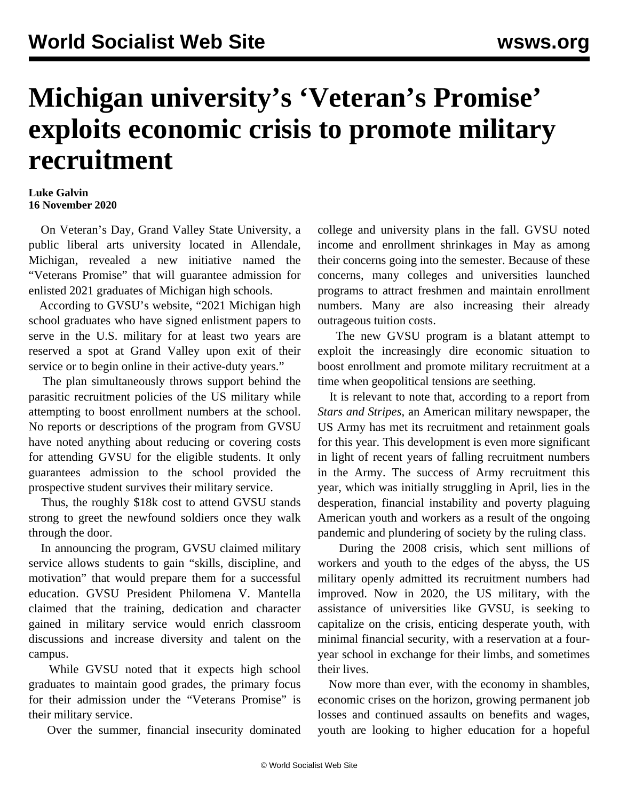## **Michigan university's 'Veteran's Promise' exploits economic crisis to promote military recruitment**

## **Luke Galvin 16 November 2020**

 On Veteran's Day, Grand Valley State University, a public liberal arts university located in Allendale, Michigan, revealed a new initiative named the "Veterans Promise" that will guarantee admission for enlisted 2021 graduates of Michigan high schools.

 According to GVSU's website, "2021 Michigan high school graduates who have signed enlistment papers to serve in the U.S. military for at least two years are reserved a spot at Grand Valley upon exit of their service or to begin online in their active-duty years."

 The plan simultaneously throws support behind the parasitic recruitment policies of the US military while attempting to boost enrollment numbers at the school. No reports or descriptions of the program from GVSU have noted anything about reducing or covering costs for attending GVSU for the eligible students. It only guarantees admission to the school provided the prospective student survives their military service.

 Thus, the roughly \$18k cost to attend GVSU stands strong to greet the newfound soldiers once they walk through the door.

 In announcing the program, GVSU claimed military service allows students to gain "skills, discipline, and motivation" that would prepare them for a successful education. GVSU President Philomena V. Mantella claimed that the training, dedication and character gained in military service would enrich classroom discussions and increase diversity and talent on the campus.

 While GVSU noted that it expects high school graduates to maintain good grades, the primary focus for their admission under the "Veterans Promise" is their military service.

Over the summer, financial insecurity dominated

college and university plans in the fall. GVSU noted income and enrollment shrinkages in May as among their concerns going into the semester. Because of these concerns, many colleges and universities launched programs to attract freshmen and maintain enrollment numbers. Many are also increasing their already outrageous tuition costs.

 The new GVSU program is a blatant attempt to exploit the increasingly dire economic situation to boost enrollment and promote military recruitment at a time when geopolitical tensions are seething.

 It is relevant to note that, according to a report from *Stars and Stripes*, an American military newspaper, the US Army has met its recruitment and retainment goals for this year. This development is even more significant in light of recent years of falling recruitment numbers in the Army. The success of Army recruitment this year, which was initially struggling in April, lies in the desperation, financial instability and poverty plaguing American youth and workers as a result of the ongoing pandemic and plundering of society by the ruling class.

 During the 2008 crisis, which sent millions of workers and youth to the edges of the abyss, the US military openly admitted its recruitment numbers had improved. Now in 2020, the US military, with the assistance of universities like GVSU, is seeking to capitalize on the crisis, enticing desperate youth, with minimal financial security, with a reservation at a fouryear school in exchange for their limbs, and sometimes their lives.

 Now more than ever, with the economy in shambles, economic crises on the horizon, growing permanent job losses and continued assaults on benefits and wages, youth are looking to higher education for a hopeful